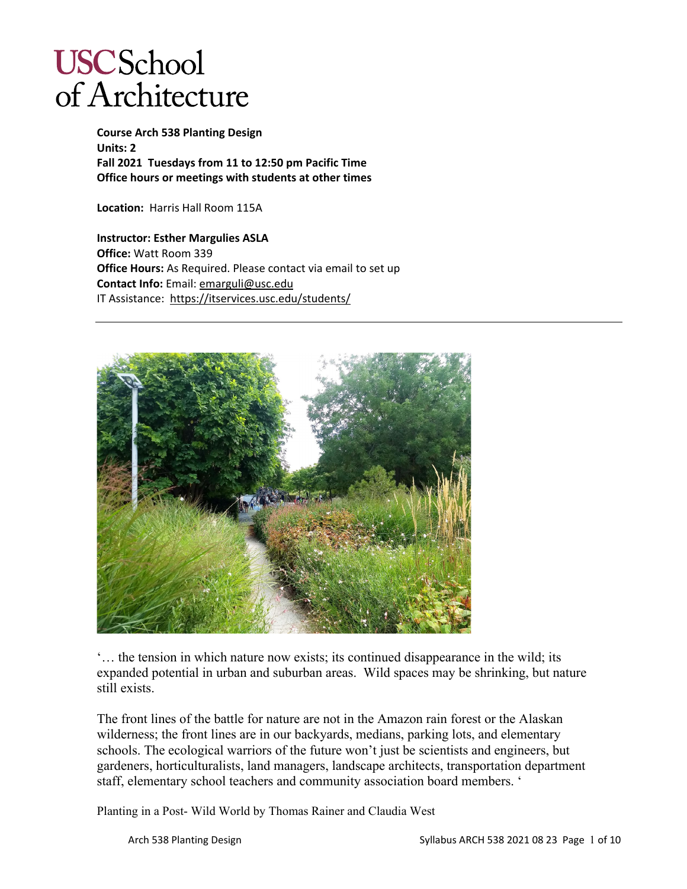# **USCSchool** of Architecture

**Course Arch 538 Planting Design Units: 2 Fall 2021 Tuesdays from 11 to 12:50 pm Pacific Time Office hours or meetings with students at other times**

**Location:** Harris Hall Room 115A

**Instructor: Esther Margulies ASLA Office:** Watt Room 339 **Office Hours:** As Required. Please contact via email to set up **Contact Info:** Email: [emarguli@usc.edu](mailto:emarguli@usc.edu) IT Assistance:<https://itservices.usc.edu/students/>



'… the tension in which nature now exists; its continued disappearance in the wild; its expanded potential in urban and suburban areas. Wild spaces may be shrinking, but nature still exists.

The front lines of the battle for nature are not in the Amazon rain forest or the Alaskan wilderness; the front lines are in our backyards, medians, parking lots, and elementary schools. The ecological warriors of the future won't just be scientists and engineers, but gardeners, horticulturalists, land managers, landscape architects, transportation department staff, elementary school teachers and community association board members. '

Planting in a Post- Wild World by Thomas Rainer and Claudia West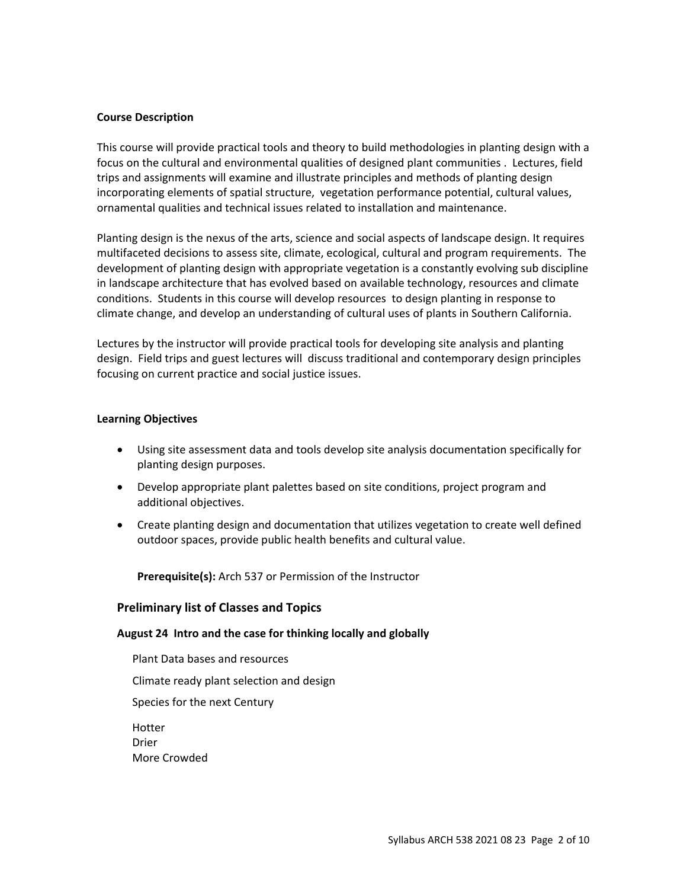#### **Course Description**

This course will provide practical tools and theory to build methodologies in planting design with a focus on the cultural and environmental qualities of designed plant communities . Lectures, field trips and assignments will examine and illustrate principles and methods of planting design incorporating elements of spatial structure, vegetation performance potential, cultural values, ornamental qualities and technical issues related to installation and maintenance.

Planting design is the nexus of the arts, science and social aspects of landscape design. It requires multifaceted decisions to assess site, climate, ecological, cultural and program requirements. The development of planting design with appropriate vegetation is a constantly evolving sub discipline in landscape architecture that has evolved based on available technology, resources and climate conditions. Students in this course will develop resources to design planting in response to climate change, and develop an understanding of cultural uses of plants in Southern California.

Lectures by the instructor will provide practical tools for developing site analysis and planting design. Field trips and guest lectures will discuss traditional and contemporary design principles focusing on current practice and social justice issues.

#### **Learning Objectives**

- Using site assessment data and tools develop site analysis documentation specifically for planting design purposes.
- Develop appropriate plant palettes based on site conditions, project program and additional objectives.
- Create planting design and documentation that utilizes vegetation to create well defined outdoor spaces, provide public health benefits and cultural value.

**Prerequisite(s):** Arch 537 or Permission of the Instructor

#### **Preliminary list of Classes and Topics**

#### **August 24 Intro and the case for thinking locally and globally**

Plant Data bases and resources Climate ready plant selection and design Species for the next Century Hotter Drier More Crowded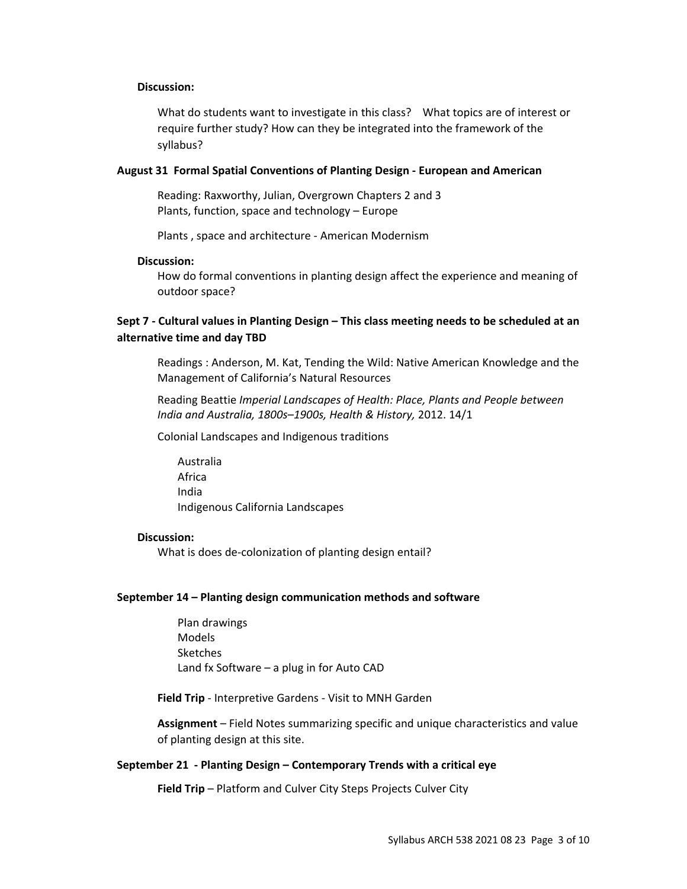#### **Discussion:**

What do students want to investigate in this class? What topics are of interest or require further study? How can they be integrated into the framework of the syllabus?

#### **August 31 Formal Spatial Conventions of Planting Design - European and American**

Reading: Raxworthy, Julian, Overgrown Chapters 2 and 3 Plants, function, space and technology – Europe

Plants , space and architecture - American Modernism

#### **Discussion:**

How do formal conventions in planting design affect the experience and meaning of outdoor space?

## **Sept 7 - Cultural values in Planting Design – This class meeting needs to be scheduled at an alternative time and day TBD**

Readings : Anderson, M. Kat, Tending the Wild: Native American Knowledge and the Management of California's Natural Resources

Reading Beattie *Imperial Landscapes of Health: Place, Plants and People between India and Australia, 1800s–1900s, Health & History,* 2012. 14/1

Colonial Landscapes and Indigenous traditions

Australia Africa India Indigenous California Landscapes

#### **Discussion:**

What is does de-colonization of planting design entail?

#### **September 14 – Planting design communication methods and software**

Plan drawings Models **Sketches** Land fx Software – a plug in for Auto CAD

**Field Trip** - Interpretive Gardens - Visit to MNH Garden

**Assignment** – Field Notes summarizing specific and unique characteristics and value of planting design at this site.

#### **September 21 - Planting Design – Contemporary Trends with a critical eye**

**Field Trip** – Platform and Culver City Steps Projects Culver City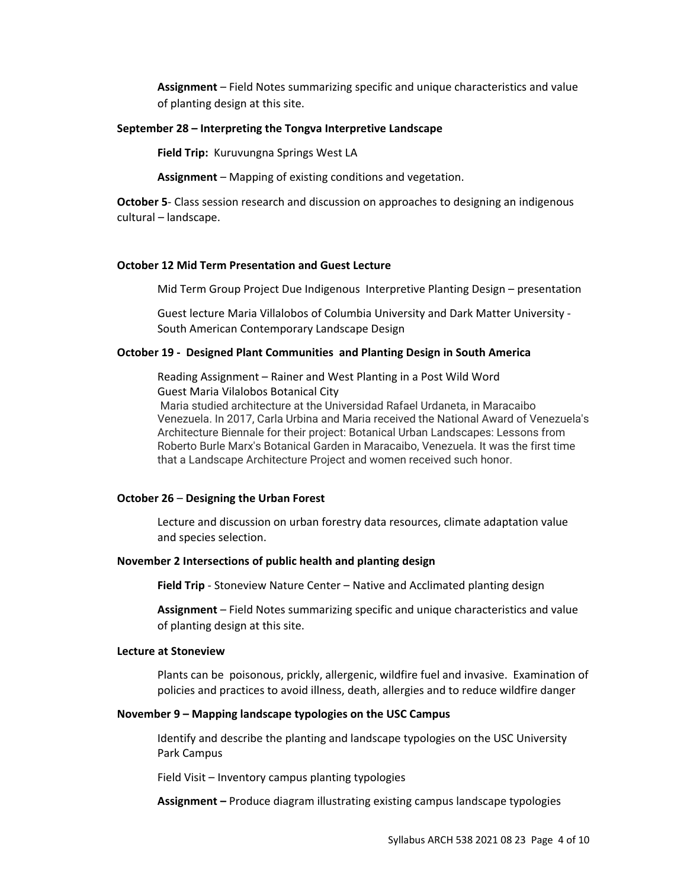**Assignment** – Field Notes summarizing specific and unique characteristics and value of planting design at this site.

#### **September 28 – Interpreting the Tongva Interpretive Landscape**

**Field Trip:** Kuruvungna Springs West LA

**Assignment** – Mapping of existing conditions and vegetation.

**October 5**- Class session research and discussion on approaches to designing an indigenous cultural – landscape.

#### **October 12 Mid Term Presentation and Guest Lecture**

Mid Term Group Project Due Indigenous Interpretive Planting Design – presentation

Guest lecture Maria Villalobos of Columbia University and Dark Matter University - South American Contemporary Landscape Design

#### **October 19 - Designed Plant Communities and Planting Design in South America**

Reading Assignment – Rainer and West Planting in a Post Wild Word Guest Maria Vilalobos Botanical City

Maria studied architecture at the Universidad Rafael Urdaneta, in Maracaibo Venezuela. In 2017, Carla Urbina and Maria received the National Award of Venezuela's Architecture Biennale for their project: Botanical Urban Landscapes: Lessons from Roberto Burle Marx's Botanical Garden in Maracaibo, Venezuela. It was the first time that a Landscape Architecture Project and women received such honor.

#### **October 26** – **Designing the Urban Forest**

Lecture and discussion on urban forestry data resources, climate adaptation value and species selection.

#### **November 2 Intersections of public health and planting design**

**Field Trip** - Stoneview Nature Center – Native and Acclimated planting design

**Assignment** – Field Notes summarizing specific and unique characteristics and value of planting design at this site.

#### **Lecture at Stoneview**

Plants can be poisonous, prickly, allergenic, wildfire fuel and invasive. Examination of policies and practices to avoid illness, death, allergies and to reduce wildfire danger

#### **November 9 – Mapping landscape typologies on the USC Campus**

Identify and describe the planting and landscape typologies on the USC University Park Campus

Field Visit – Inventory campus planting typologies

**Assignment –** Produce diagram illustrating existing campus landscape typologies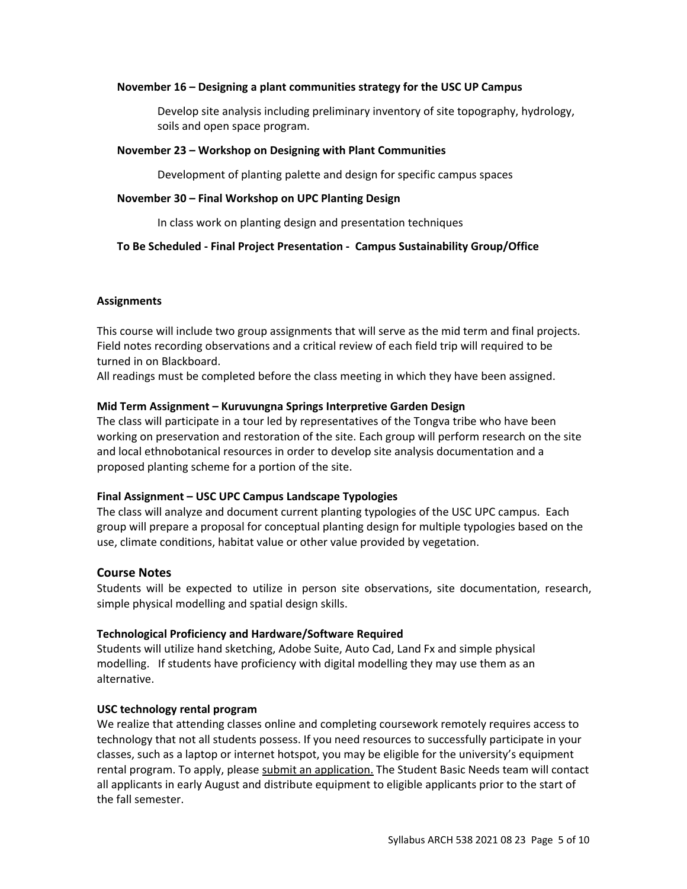#### **November 16 – Designing a plant communities strategy for the USC UP Campus**

Develop site analysis including preliminary inventory of site topography, hydrology, soils and open space program.

#### **November 23 – Workshop on Designing with Plant Communities**

Development of planting palette and design for specific campus spaces

#### **November 30 – Final Workshop on UPC Planting Design**

In class work on planting design and presentation techniques

#### **To Be Scheduled - Final Project Presentation - Campus Sustainability Group/Office**

#### **Assignments**

This course will include two group assignments that will serve as the mid term and final projects. Field notes recording observations and a critical review of each field trip will required to be turned in on Blackboard.

All readings must be completed before the class meeting in which they have been assigned.

#### **Mid Term Assignment – Kuruvungna Springs Interpretive Garden Design**

The class will participate in a tour led by representatives of the Tongva tribe who have been working on preservation and restoration of the site. Each group will perform research on the site and local ethnobotanical resources in order to develop site analysis documentation and a proposed planting scheme for a portion of the site.

#### **Final Assignment – USC UPC Campus Landscape Typologies**

The class will analyze and document current planting typologies of the USC UPC campus. Each group will prepare a proposal for conceptual planting design for multiple typologies based on the use, climate conditions, habitat value or other value provided by vegetation.

## **Course Notes**

Students will be expected to utilize in person site observations, site documentation, research, simple physical modelling and spatial design skills.

#### **Technological Proficiency and Hardware/Software Required**

Students will utilize hand sketching, Adobe Suite, Auto Cad, Land Fx and simple physical modelling. If students have proficiency with digital modelling they may use them as an alternative.

#### **USC technology rental program**

We realize that attending classes online and completing coursework remotely requires access to technology that not all students possess. If you need resources to successfully participate in your classes, such as a laptop or internet hotspot, you may be eligible for the university's equipment rental program. To apply, please submit an [application.](https://studentbasicneeds.usc.edu/resources/technology-assistance/) The Student Basic Needs team will contact all applicants in early August and distribute equipment to eligible applicants prior to the start of the fall semester.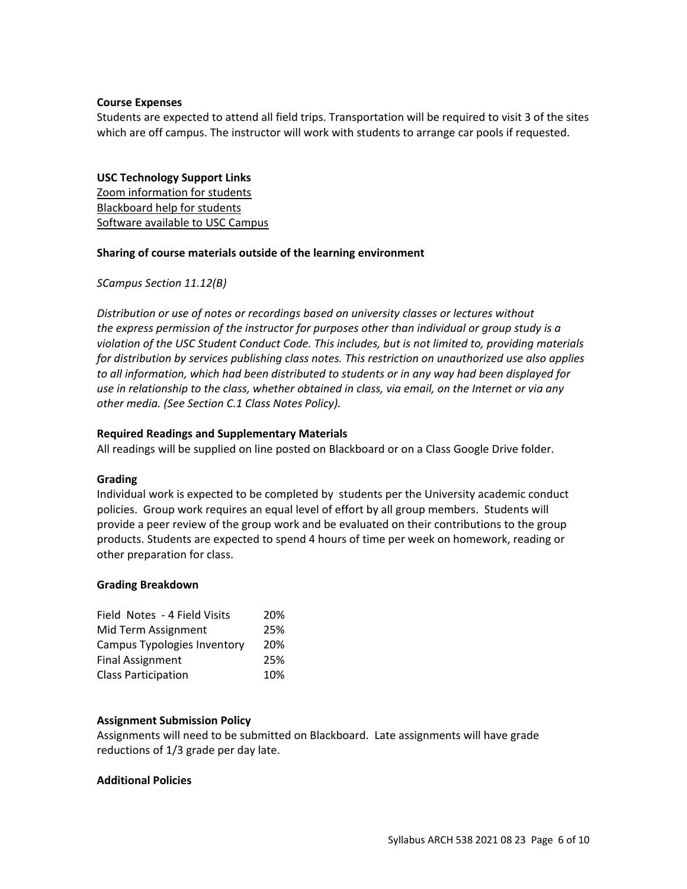#### **Course Expenses**

Students are expected to attend all field trips. Transportation will be required to visit 3 of the sites which are off campus. The instructor will work with students to arrange car pools if requested.

#### **USC Technology Support Links**

[Zoom information for students](https://keepteaching.usc.edu/start-learning/) [Blackboard help for students](https://studentblackboardhelp.usc.edu/) [Software available to USC Campus](https://software.usc.edu/)

#### **Sharing of course materials outside of the learning environment**

*SCampus Section 11.12(B)* 

*Distribution or use of notes or recordings based on university classes or lectures without the express permission of the instructor for purposes other than individual or group study is a violation of the USC Student Conduct Code. This includes, but is not limited to, providing materials for distribution by services publishing class notes. This restriction on unauthorized use also applies to all information, which had been distributed to students or in any way had been displayed for use in relationship to the class, whether obtained in class, via email, on the Internet or via any other media. (See Section C.1 Class Notes Policy).*

#### **Required Readings and Supplementary Materials**

All readings will be supplied on line posted on Blackboard or on a Class Google Drive folder.

#### **Grading**

Individual work is expected to be completed by students per the University academic conduct policies. Group work requires an equal level of effort by all group members. Students will provide a peer review of the group work and be evaluated on their contributions to the group products. Students are expected to spend 4 hours of time per week on homework, reading or other preparation for class.

#### **Grading Breakdown**

| Field Notes - 4 Field Visits | 20% |
|------------------------------|-----|
| Mid Term Assignment          | 25% |
| Campus Typologies Inventory  | 20% |
| <b>Final Assignment</b>      | 25% |
| <b>Class Participation</b>   | 10% |

#### **Assignment Submission Policy**

Assignments will need to be submitted on Blackboard. Late assignments will have grade reductions of 1/3 grade per day late.

#### **Additional Policies**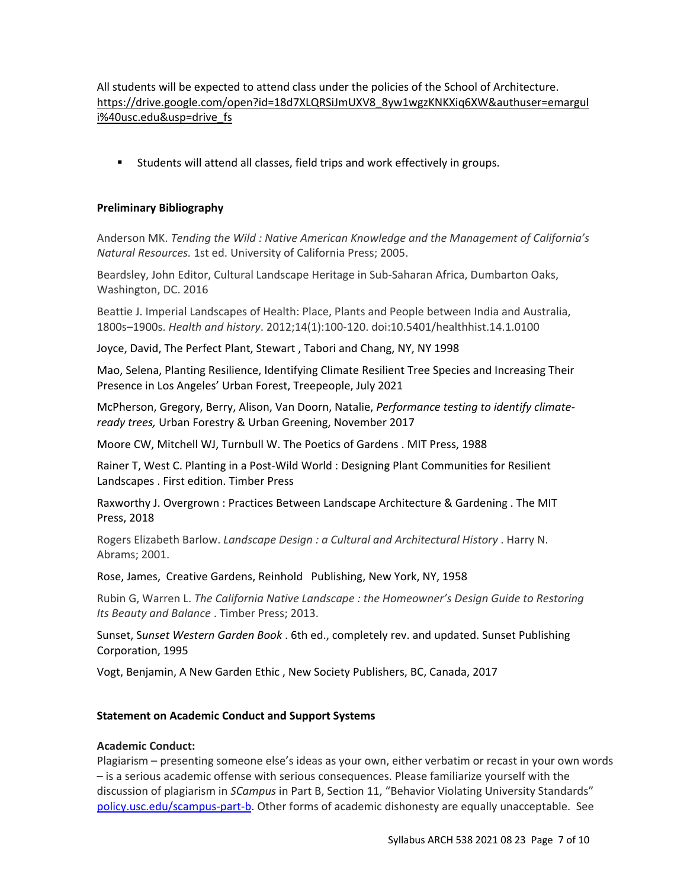All students will be expected to attend class under the policies of the School of Architecture. [https://drive.google.com/open?id=18d7XLQRSiJmUXV8\\_8yw1wgzKNKXiq6XW&authuser=emargul](https://drive.google.com/open?id=18d7XLQRSiJmUXV8_8yw1wgzKNKXiq6XW&authuser=emarguli%40usc.edu&usp=drive_fs) [i%40usc.edu&usp=drive\\_fs](https://drive.google.com/open?id=18d7XLQRSiJmUXV8_8yw1wgzKNKXiq6XW&authuser=emarguli%40usc.edu&usp=drive_fs)

Students will attend all classes, field trips and work effectively in groups.

#### **Preliminary Bibliography**

Anderson MK. *Tending the Wild : Native American Knowledge and the Management of California's Natural Resources.* 1st ed. University of California Press; 2005.

Beardsley, John Editor, Cultural Landscape Heritage in Sub-Saharan Africa, Dumbarton Oaks, Washington, DC. 2016

Beattie J. Imperial Landscapes of Health: Place, Plants and People between India and Australia, 1800s–1900s. *Health and history*. 2012;14(1):100-120. doi:10.5401/healthhist.14.1.0100

Joyce, David, The Perfect Plant, Stewart , Tabori and Chang, NY, NY 1998

Mao, Selena, Planting Resilience, Identifying Climate Resilient Tree Species and Increasing Their Presence in Los Angeles' Urban Forest, Treepeople, July 2021

McPherson, Gregory, Berry, Alison, Van Doorn, Natalie, *Performance testing to identify climateready trees,* Urban Forestry & Urban Greening, November 2017

Moore CW, Mitchell WJ, Turnbull W. The Poetics of Gardens . MIT Press, 1988

Rainer T, West C. Planting in a Post-Wild World : Designing Plant Communities for Resilient Landscapes . First edition. Timber Press

Raxworthy J. Overgrown : Practices Between Landscape Architecture & Gardening . The MIT Press, 2018

Rogers Elizabeth Barlow. *Landscape Design : a Cultural and Architectural History* . Harry N. Abrams; 2001.

Rose, James, Creative Gardens, Reinhold Publishing, New York, NY, 1958

Rubin G, Warren L. *The California Native Landscape : the Homeowner's Design Guide to Restoring Its Beauty and Balance* . Timber Press; 2013.

Sunset, S*unset Western Garden Book* . 6th ed., completely rev. and updated. Sunset Publishing Corporation, 1995

Vogt, Benjamin, A New Garden Ethic , New Society Publishers, BC, Canada, 2017

#### **Statement on Academic Conduct and Support Systems**

#### **Academic Conduct:**

Plagiarism – presenting someone else's ideas as your own, either verbatim or recast in your own words – is a serious academic offense with serious consequences. Please familiarize yourself with the discussion of plagiarism in *SCampus* in Part B, Section 11, "Behavior Violating University Standards" [policy.usc.edu/scampus-part-b.](https://policy.usc.edu/scampus-part-b/) Other forms of academic dishonesty are equally unacceptable. See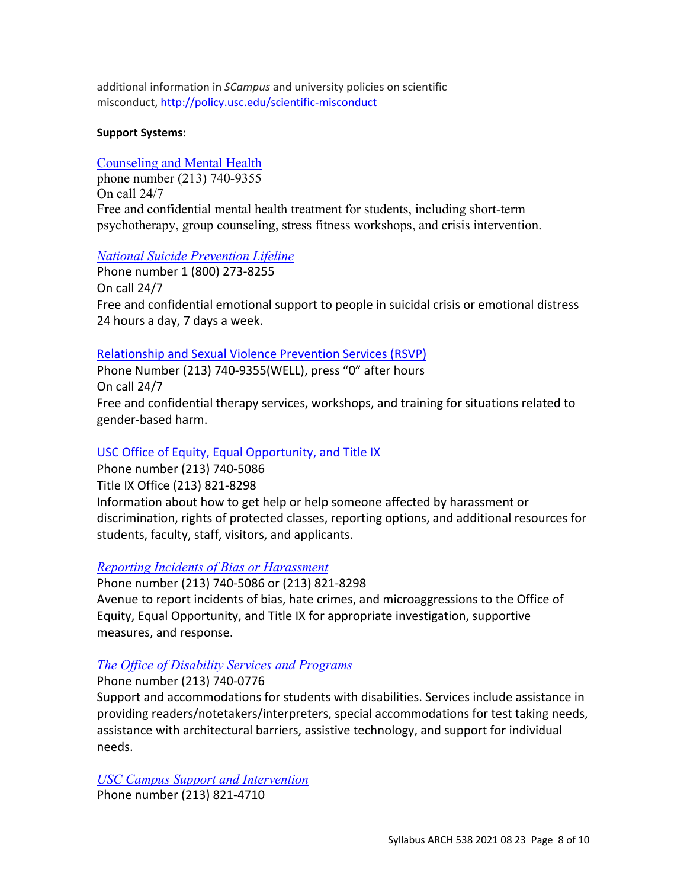additional information in *SCampus* and university policies on scientific misconduct, <http://policy.usc.edu/scientific-misconduct>

# **Support Systems:**

# [Counseling and Mental Health](http://studenthealth.usc.edu/counseling)

phone number (213) 740-9355 On call 24/7 Free and confidential mental health treatment for students, including short-term psychotherapy, group counseling, stress fitness workshops, and crisis intervention.

# *[National Suicide Prevention Lifeline](http://suicidepreventionlifeline.org/)*

Phone number 1 (800) 273-8255 On call 24/7 Free and confidential emotional support to people in suicidal crisis or emotional distress 24 hours a day, 7 days a week.

# [Relationship and Sexual Violence Prevention Services \(RSVP\)](http://studenthealth.usc.edu/sexual-assault)

Phone Number (213) 740-9355(WELL), press "0" after hours On call 24/7 Free and confidential therapy services, workshops, and training for situations related to gender-based harm.

# [USC Office of Equity, Equal Opportunity, and Title IX](https://eeotix.usc.edu/)

Phone number (213) 740-5086 Title IX Office (213) 821-8298 Information about how to get help or help someone affected by harassment or discrimination, rights of protected classes, reporting options, and additional resources for students, faculty, staff, visitors, and applicants.

# *[Reporting Incidents of Bias or Harassment](https://usc-advocate.symplicity.com/care_report/index.php/pid251030?)*

Phone number (213) 740-5086 or (213) 821-8298 Avenue to report incidents of bias, hate crimes, and microaggressions to the Office of Equity, Equal Opportunity, and Title IX for appropriate investigation, supportive measures, and response.

# *[The Office of Disability Services and Programs](http://dsp.usc.edu/)*

Phone number (213) 740-0776

Support and accommodations for students with disabilities. Services include assistance in providing readers/notetakers/interpreters, special accommodations for test taking needs, assistance with architectural barriers, assistive technology, and support for individual needs.

*[USC Campus Support and Intervention](http://campussupport.usc.edu/)* Phone number (213) 821-4710